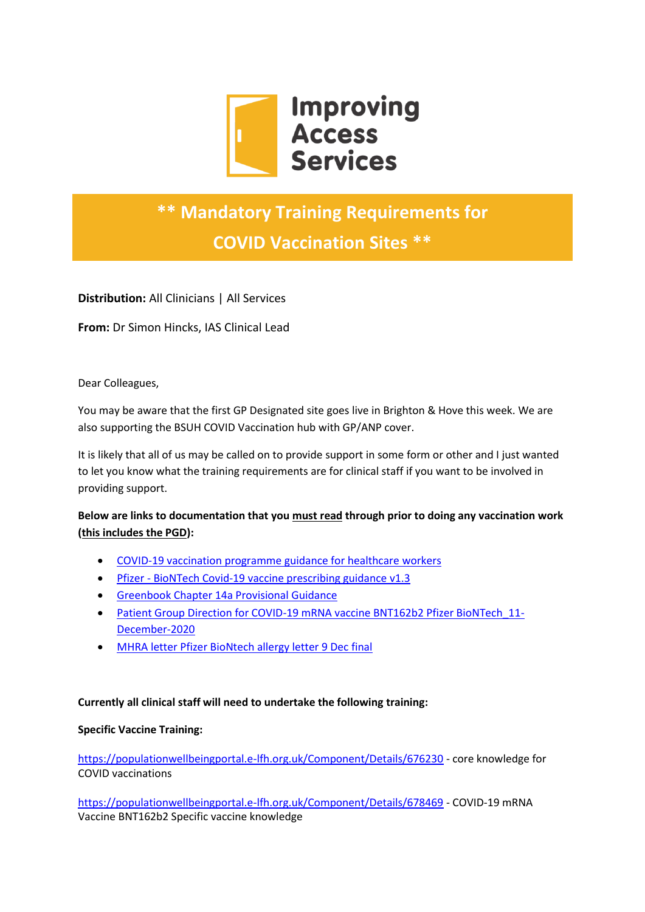

# **\*\* Mandatory Training Requirements for COVID Vaccination Sites \*\***

**Distribution:** All Clinicians | All Services

**From:** Dr Simon Hincks, IAS Clinical Lead

Dear Colleagues,

You may be aware that the first GP Designated site goes live in Brighton & Hove this week. We are also supporting the BSUH COVID Vaccination hub with GP/ANP cover.

It is likely that all of us may be called on to provide support in some form or other and I just wanted to let you know what the training requirements are for clinical staff if you want to be involved in providing support.

**Below are links to documentation that you must read through prior to doing any vaccination work (this includes the PGD):**

- [COVID-19 vaccination programme guidance for healthcare workers](https://www.improvingaccessservices.co.uk/wp-content/uploads/2020/12/COVID-19_vaccination_programme_guidance_for_healthcare_workers_December-2020.pdf)
- Pfizer [BioNTech Covid-19 vaccine prescribing guidance v1.3](https://www.improvingaccessservices.co.uk/wp-content/uploads/2020/12/Pfizer-BioNTech-Covid-19-vaccine-prescribing-guidance_v1.3.pdf)
- [Greenbook Chapter 14a](https://www.improvingaccessservices.co.uk/wp-content/uploads/2020/12/Greenbook_chapter_14a___provisional_guidance_subject_to_MHRA_approval_of....pdf) Provisional Guidance
- Patient Group Direction for COVID-19 mRNA vaccine BNT162b2 Pfizer BioNTech 11-[December-2020](https://www.improvingaccessservices.co.uk/wp-content/uploads/2020/12/Patient-Group-Direction-for-COVID-19-mRNA-vaccine-BNT162b2-Pfizer-BioNTech_11-December-2020.pdf)
- [MHRA letter Pfizer BioNtech allergy letter 9 Dec final](https://www.improvingaccessservices.co.uk/wp-content/uploads/2020/12/MHRA-letter-Pfizer-BioNtech-allergy-letter-9-Dec-final.pdf)

### **Currently all clinical staff will need to undertake the following training:**

### **Specific Vaccine Training:**

<https://populationwellbeingportal.e-lfh.org.uk/Component/Details/676230> - core knowledge for COVID vaccinations

<https://populationwellbeingportal.e-lfh.org.uk/Component/Details/678469> - COVID-19 mRNA Vaccine BNT162b2 Specific vaccine knowledge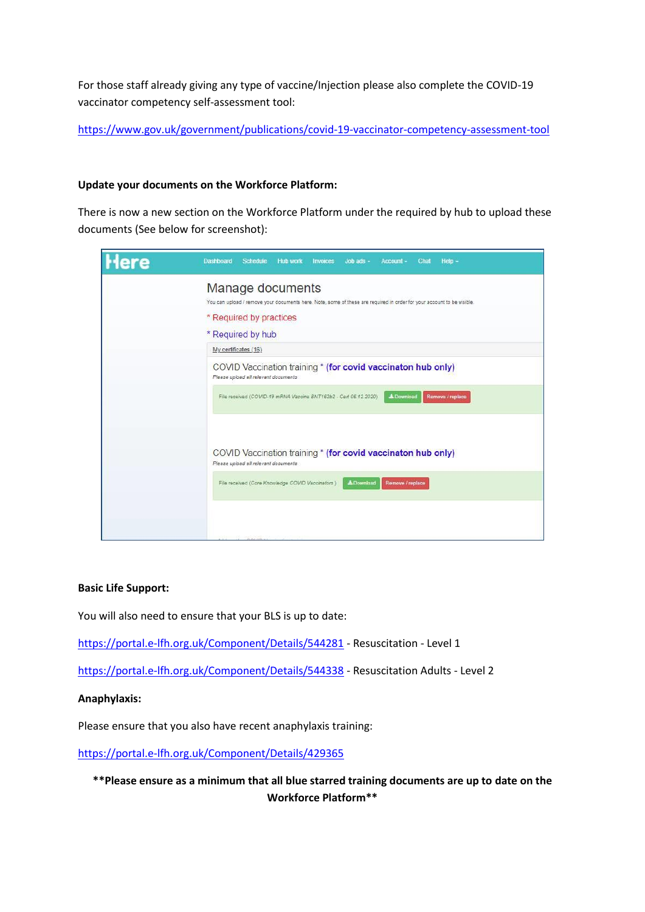For those staff already giving any type of vaccine/Injection please also complete the COVID-19 vaccinator competency self-assessment tool:

<https://www.gov.uk/government/publications/covid-19-vaccinator-competency-assessment-tool>

### **Update your documents on the Workforce Platform:**

There is now a new section on the Workforce Platform under the required by hub to upload these documents (See below for screenshot):

| Here | Dashboard<br><b>Schedule</b><br>Help -<br><b>Hub work</b><br>Job ads -<br>Account -<br>Chat<br>Invoices                                                                                                                                                                                                                    |
|------|----------------------------------------------------------------------------------------------------------------------------------------------------------------------------------------------------------------------------------------------------------------------------------------------------------------------------|
|      | Manage documents<br>You can upload / remove your documents here. Note, some of these are required in order for your account to be visible.<br>* Required by practices<br>* Required by hub<br>My certificates (16)<br>COVID Vaccination training * (for covid vaccinaton hub only)<br>Please upload all relevant documents |
|      | File received (COVID-19 mRNA Vaccine BNT162b2 - Cert 06 12 2020)<br>& Download<br>Remove / replace                                                                                                                                                                                                                         |
|      | COVID Vaccination training * (for covid vaccinaton hub only)<br>Please upload all relevant documents                                                                                                                                                                                                                       |
|      | File received (Core Knowledge COVID Vaccinators)<br>& Download<br>Remove / replace                                                                                                                                                                                                                                         |
|      |                                                                                                                                                                                                                                                                                                                            |

#### **Basic Life Support:**

You will also need to ensure that your BLS is up to date:

<https://portal.e-lfh.org.uk/Component/Details/544281> - Resuscitation - Level 1

<https://portal.e-lfh.org.uk/Component/Details/544338> - Resuscitation Adults - Level 2

#### **Anaphylaxis:**

Please ensure that you also have recent anaphylaxis training:

<https://portal.e-lfh.org.uk/Component/Details/429365>

**\*\*Please ensure as a minimum that all blue starred training documents are up to date on the Workforce Platform\*\***